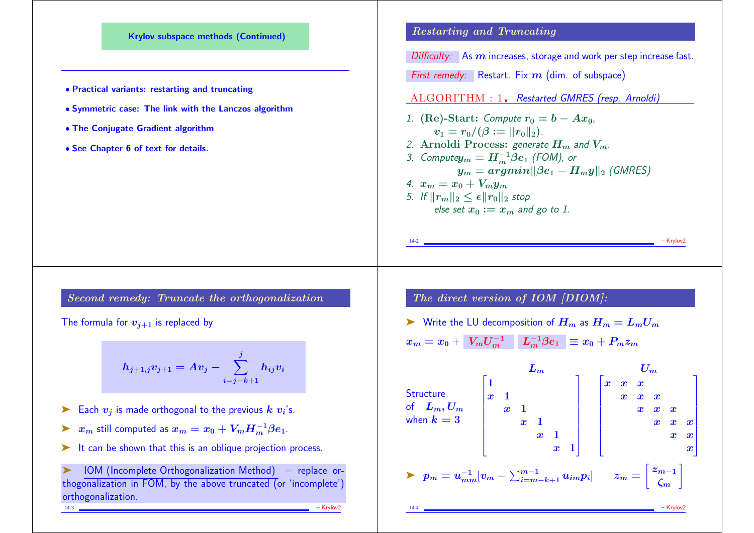

Second remedy: Truncate the orthogonalization

The formula for  $v_{i+1}$  is replaced by

$$
h_{j+1,j}v_{j+1}=Av_j-\sum_{i=j-k+1}^j h_{ij}v_i
$$

- ► Each  $v_j$  is made orthogonal to the previous  $k$   $v_i$ 's.
- ▶  $x_m$  still computed as  $x_m = x_0 + V_m H_m^{-1} \beta e_1$ .
- ► It can be shown that this is an oblique projection process.

 $IOM$  (Incomplete Orthogonalization Method) = replace orthogonalization in FOM, by the above truncated (or 'incomplete') orthogonalization. 14-3 – Krylov2

The direct version of IOM [DIOM]:

► Write the LU decomposition of 
$$
H_m
$$
 as  $H_m = L_m U_m$   
 $x_m = x_0 + \boxed{V_m U_m^{-1}} \boxed{L_m^{-1} \beta e_1} \equiv x_0 + P_m z_m$ 

| $L_m$         | $L_m$ | $U_m$ |     |     |     |     |     |     |     |     |     |     |     |     |     |     |     |     |     |     |     |     |     |     |     |     |     |     |     |     |     |     |     |     |     |     |     |     |     |     |     |     |     |     |     |     |     |     |     |     |     |     |     |     |     |     |     |     |     |     |     |     |     |     |     |     |     |     |     |     |
|---------------|-------|-------|-----|-----|-----|-----|-----|-----|-----|-----|-----|-----|-----|-----|-----|-----|-----|-----|-----|-----|-----|-----|-----|-----|-----|-----|-----|-----|-----|-----|-----|-----|-----|-----|-----|-----|-----|-----|-----|-----|-----|-----|-----|-----|-----|-----|-----|-----|-----|-----|-----|-----|-----|-----|-----|-----|-----|-----|-----|-----|-----|-----|-----|-----|-----|-----|-----|-----|-----|-----|
| of $L_m, U_m$ | $x$   | $1$   | $x$ | $x$ | $x$ | $x$ | $x$ | $x$ | $x$ | $x$ | $x$ | $x$ | $x$ | $x$ | $x$ | $x$ | $x$ | $x$ | $x$ | $x$ | $x$ | $x$ | $x$ | $x$ | $x$ | $x$ | $x$ | $x$ | $x$ | $x$ | $x$ | $x$ | $x$ | $x$ | $x$ | $x$ | $x$ | $x$ | $x$ | $x$ | $x$ | $x$ | $x$ | $x$ | $x$ | $x$ | $x$ | $x$ | $x$ | $x$ | $x$ | $x$ | $x$ | $x$ | $x$ | $x$ | $x$ | $x$ | $x$ | $x$ | $x$ | $x$ | $x$ | $x$ | $x$ | $x$ | $x$ | $x$ | $x$ | $x$ |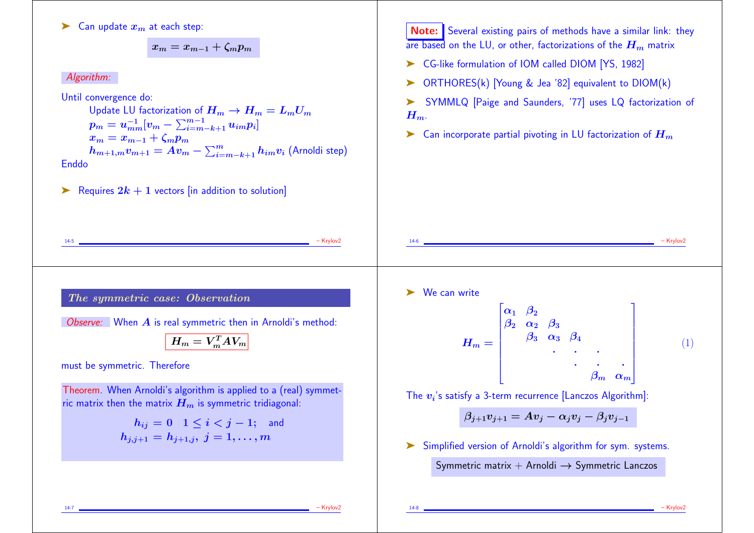$\blacktriangleright$  Can update  $x_m$  at each step:

 $x_m = x_{m-1} + \zeta_m p_m$ 

## Algorithm:

Until convergence do:

Update LU factorization of  $H_m \to H_m = L_m U_m$  $p_m = u_{mm}^{-1}[v_m - \sum_{i=m-k+1}^{m-1}u_{im}p_i]$  $x_m = x_{m-1} + \zeta_m p_m$  $h_{m+1,m} v_{m+1} = A v_m - \sum_{i=m-k+1}^m h_{im} v_i$  (Arnoldi step) Enddo

Example 1 x Requires  $2k + 1$  vectors [in addition to solution]

**Note:** Several existing pairs of methods have a similar link: they are based on the LU, or other, factorizations of the  $H_m$  matrix

- ➤ CG-like formulation of IOM called DIOM [YS, 1982]
- ➤ ORTHORES(k) [Young & Jea '82] equivalent to DIOM(k)
- ➤ SYMMLQ [Paige and Saunders, '77] uses LQ factorization of  $H_{m}$ .

14-6 – Krylov2

 $\blacktriangleright$  Can incorporate partial pivoting in LU factorization of  $H_m$ 

The symmetric case: Observation

Observe: When  $\vec{A}$  is real symmetric then in Arnoldi's method:

$$
\boxed{H_m = V_m^T A V_m}
$$

14-5 – Krylov2

must be symmetric. Therefore

Theorem. When Arnoldi's algorithm is applied to a (real) symmetric matrix then the matrix  $H_m$  is symmetric tridiagonal:

$$
\begin{array}{c} h_{ij}=0 \;\; 1 \leq i < j-1; \ \ \, \text{and} \\ h_{j,j+1}=h_{j+1,j}, \; j=1,\ldots,m \end{array}
$$

➤ We can write

$$
H_m = \begin{bmatrix} \alpha_1 & \beta_2 \\ \beta_2 & \alpha_2 & \beta_3 \\ & \beta_3 & \alpha_3 & \beta_4 \\ & & \ddots & \ddots & \vdots \\ & & & \beta_m & \alpha_m \end{bmatrix}
$$
 (1)

 $\overline{\mathbf{u}}$ 

The  $\boldsymbol{v_i}$ 's satisfy a 3-term recurrence [Lanczos Algorithm]:

 $\mathbf{r}$ 

$$
\beta_{j+1}v_{j+1}=Av_j-\alpha_jv_j-\beta_jv_{j-1}
$$

➤ Simplified version of Arnoldi's algorithm for sym. systems.

Symmetric matrix + Arnoldi  $\rightarrow$  Symmetric Lanczos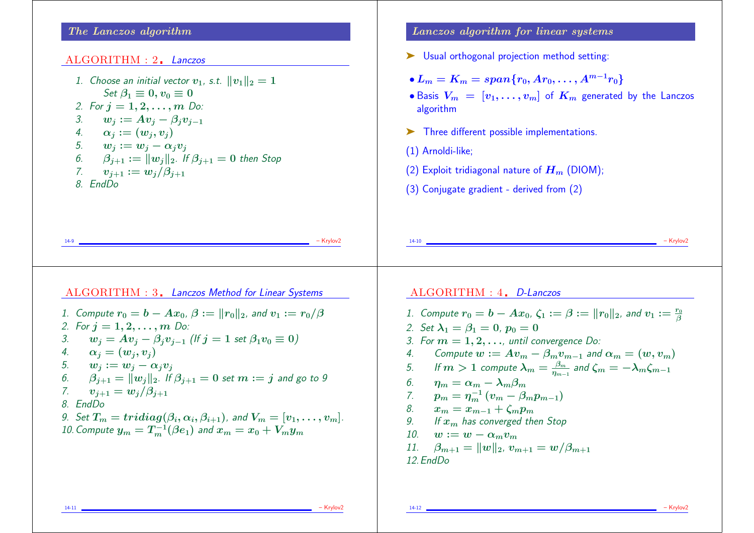## The Lanczos algorithm

#### ALGORITHM : 2. Lanczos

1. Choose an initial vector  $v_1$ , s.t.  $||v_1||_2 = 1$ Set  $\beta_1 \equiv 0, v_0 \equiv 0$ 2. For  $j = 1, 2, ..., m$  Do: 3.  $w_i := Av_i - \beta_i v_{i-1}$ 4.  $\alpha_i := (w_i, v_i)$ 5.  $w_i := w_i - \alpha_i v_i$ 6.  $\beta_{i+1} := ||w_i||_2$ . If  $\beta_{i+1} = 0$  then Stop 7.  $v_{i+1} := w_i/\beta_{i+1}$ 8. EndDo

Lanczos algorithm for linear systems

- ➤ Usual orthogonal projection method setting:
- $L_m = K_m = span\{r_0, Ar_0, \ldots, A^{m-1}r_0\}$
- Basis  $V_m = [v_1, \ldots, v_m]$  of  $K_m$  generated by the Lanczos algorithm

14-10 – Krylov2

- ➤ Three different possible implementations.
- (1) Arnoldi-like;
- (2) Exploit tridiagonal nature of  $H_m$  (DIOM);
- (3) Conjugate gradient derived from (2)

14-9 – Krylov2

| ALGORITHM : 3. Lanczos Method for Linear Systems                                          |
|-------------------------------------------------------------------------------------------|
| 1. Compute $r_0 = b - Ax_0$ , $\beta :=   r_0  _2$ , and $v_1 := r_0/\beta$               |
| 2. For $j = 1, 2, , m$ Do:                                                                |
| $w_j = Av_j - \beta_j v_{j-1}$ (If $j = 1$ set $\beta_1 v_0 \equiv 0$ )<br>3.             |
| $\alpha_i = (w_i, v_i)$<br>4.                                                             |
| 5. $w_i := w_i - \alpha_i v_i$                                                            |
| 6. $\beta_{i+1} =   w_i  _2$ . If $\beta_{i+1} = 0$ set $m := j$ and go to 9              |
| 7.<br>$v_{i+1} = w_i/\beta_{i+1}$                                                         |
| 8. EndDo                                                                                  |
| 9. Set $T_m = tridiag(\beta_i, \alpha_i, \beta_{i+1})$ , and $V_m = [v_1, \ldots, v_m]$ . |
| 10. Compute $y_m = T_m^{-1}(\beta e_1)$ and $x_m = x_0 + V_m y_m$                         |
|                                                                                           |
|                                                                                           |

 $ALGORITHM: 4$  D-Lanczos

1. Compute  $r_0 = b - Ax_0$ ,  $\zeta_1 := \beta := ||r_0||_2$ , and  $v_1 := \frac{r_0}{\beta}$ 2. Set  $\lambda_1 = \beta_1 = 0$ ,  $p_0 = 0$ 3. For  $m = 1, 2, \ldots$ , until convergence Do: 4. Compute  $w := Av_m - \beta_m v_{m-1}$  and  $\alpha_m = (w, v_m)$ 5. If  $m>1$  compute  $\lambda_m=\frac{\beta_m}{n_{m-1}}$  $\frac{\beta_{m}}{\eta_{m-1}}$  and  $\zeta_{m}=-\lambda_{m}\zeta_{m-1}$ 6.  $\eta_m = \alpha_m - \lambda_m \beta_m$ 7.  $p_m = \eta_m^{-1} (v_m - \beta_m p_{m-1})$ 8.  $x_m = x_{m-1} + \zeta_m p_m$ 9. If  $x_m$  has converged then Stop 10.  $w := w - \alpha_m v_m$ 11.  $\beta_{m+1} = ||w||_2$ ,  $v_{m+1} = w/\beta_{m+1}$ 12.EndDo